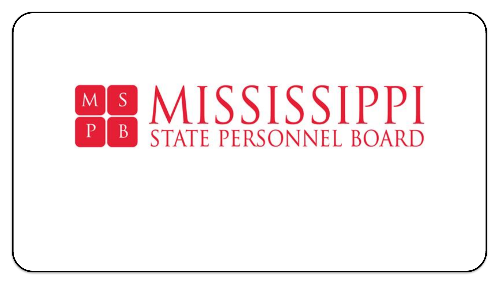# **SIMISSISSIPPI B** STATE PERSONNEL BOARD  $\mathbf{P}$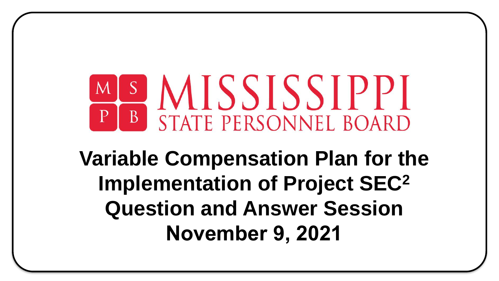# SMISSISSIPPI  $|P|$ B STATE PERSONNEL BOARD

# **Variable Compensation Plan for the Implementation of Project SEC<sup>2</sup> Question and Answer Session November 9, 2021**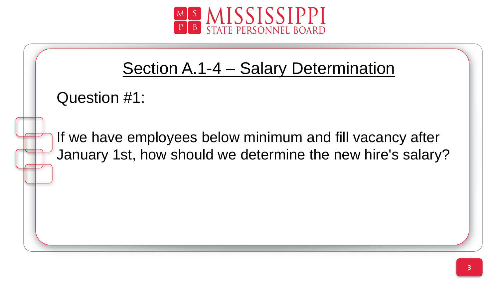

# Section A.1-4 – Salary Determination

Question #1:

January 1st, how should we determine the new hire's salary? If we have employees below minimum and fill vacancy after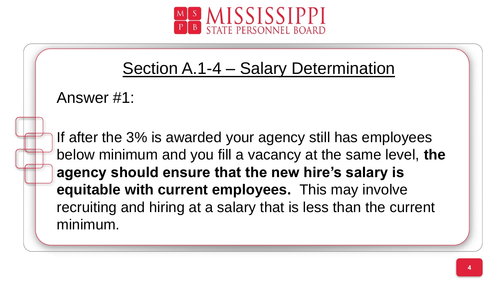

#### Section A.1-4 – Salary Determination

Answer #1:

ç below minimum and you fill a vacancy at the same level, **the**  If after the 3% is awarded your agency still has employees **agency should ensure that the new hire's salary is equitable with current employees.** This may involve recruiting and hiring at a salary that is less than the current minimum.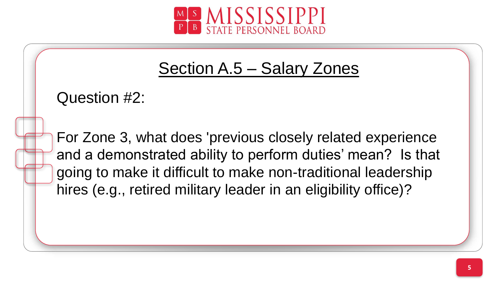

Question #2:

and a demonstrated ability to perform duties' mean? Is that For Zone 3, what does 'previous closely related experience going to make it difficult to make non-traditional leadership hires (e.g., retired military leader in an eligibility office)?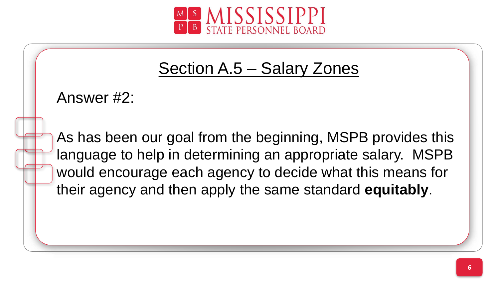

Answer #2:

language to help in determining an appropriate salary. MSPB As has been our goal from the beginning, MSPB provides this would encourage each agency to decide what this means for their agency and then apply the same standard **equitably**.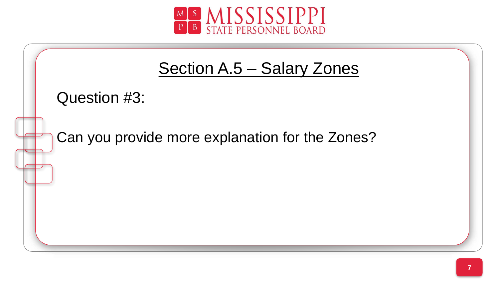

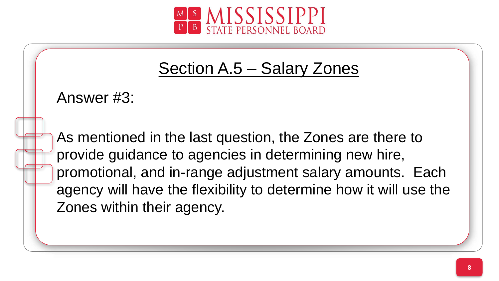

Answer #3:

provide guidance to agencies in determining new hire, As mentioned in the last question, the Zones are there to promotional, and in-range adjustment salary amounts. Each agency will have the flexibility to determine how it will use the Zones within their agency.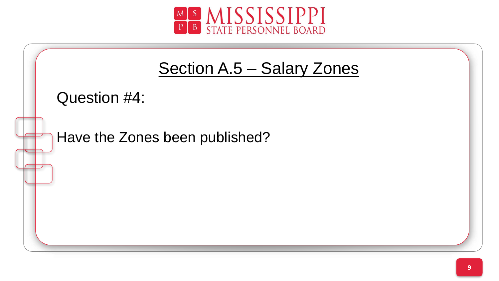

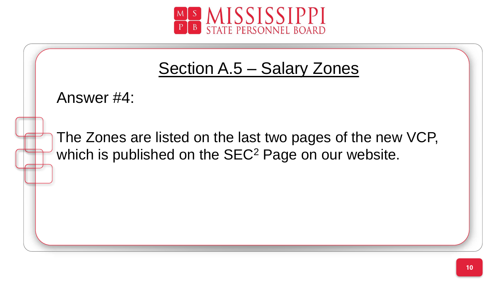

Answer #4:

which is published on the SEC<sup>2</sup> Page on our website. The Zones are listed on the last two pages of the new VCP,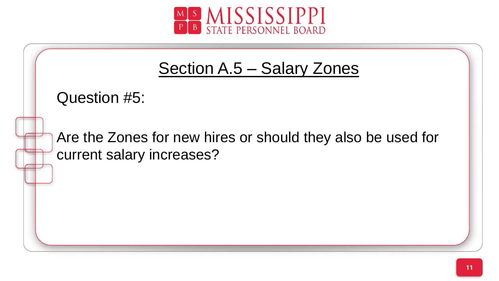

Question #5:

Are the Zones for new hires or should they also be used for current salary increases?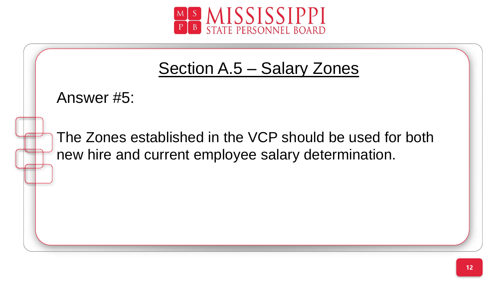



Answer #5:

new hire and current employee salary determination. The Zones established in the VCP should be used for both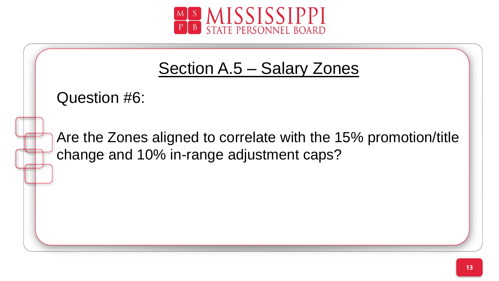

Question #6:

ç change and 10% in-range adjustment caps?Are the Zones aligned to correlate with the 15% promotion/title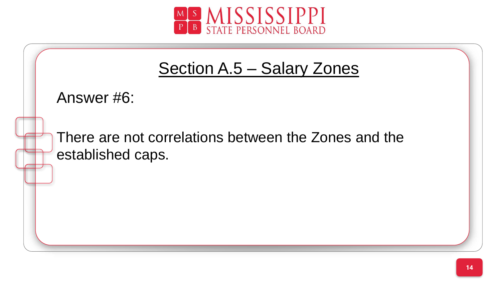

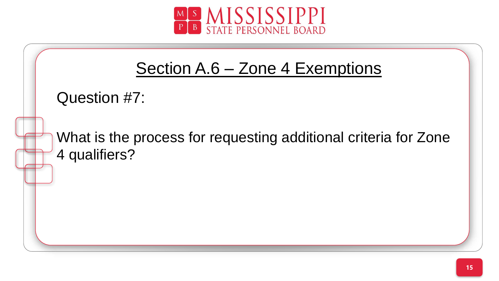

# Section A.6 – Zone 4 Exemptions

Question #7:

What is the process for requesting additional criteria for Zone 4 qualifiers?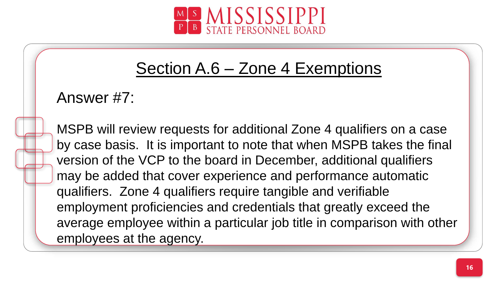

## Section A.6 – Zone 4 Exemptions

Answer #7:

by case basis. It is important to note that when MSPB takes the final MSPB will review requests for additional Zone 4 qualifiers on a case version of the VCP to the board in December, additional qualifiers may be added that cover experience and performance automatic qualifiers. Zone 4 qualifiers require tangible and verifiable employment proficiencies and credentials that greatly exceed the average employee within a particular job title in comparison with other employees at the agency.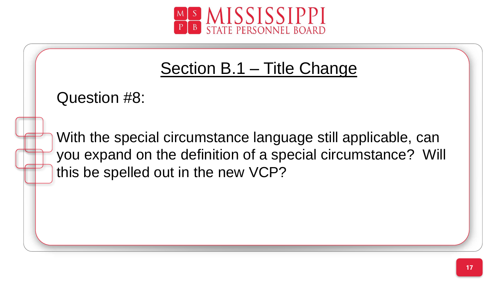

# Section B.1 – Title Change

Question #8:

you expand on the definition of a special circumstance? Will With the special circumstance language still applicable, can this be spelled out in the new VCP?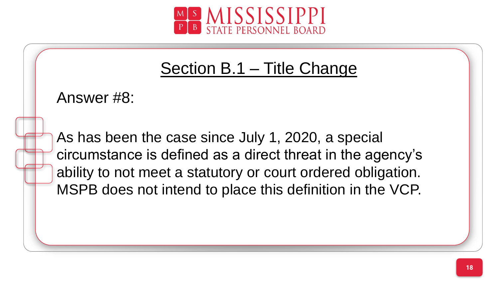

# Section B.1 – Title Change

Answer #8:

ç circumstance is defined as a direct threat in the agency's As has been the case since July 1, 2020, a special ability to not meet a statutory or court ordered obligation. MSPB does not intend to place this definition in the VCP.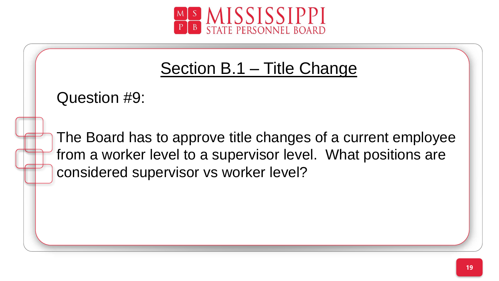

# Section B.1 – Title Change

Question #9:

from a worker level to a supervisor level. What positions are The Board has to approve title changes of a current employee considered supervisor vs worker level?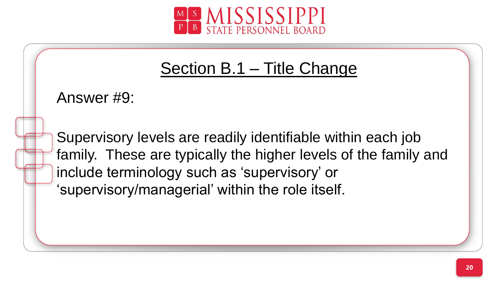

# Section B.1 - Title Change

Answer #9:

family. These are typically the higher levels of the family and Supervisory levels are readily identifiable within each job include terminology such as 'supervisory' or 'supervisory/managerial' within the role itself.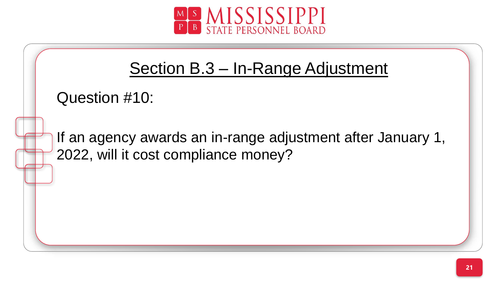



```
Question #10:
```
ç 2022, will it cost compliance money?If an agency awards an in-range adjustment after January 1,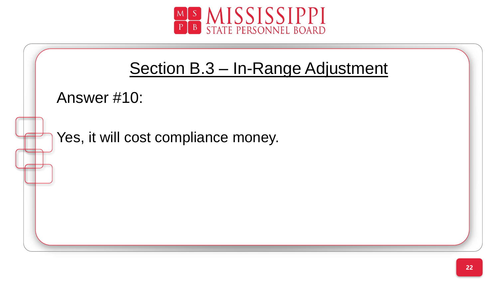

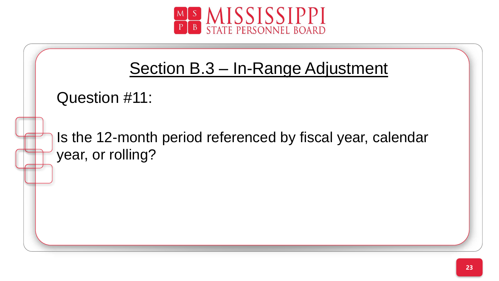



```
Question #11:
```
Is the 12-month period referenced by fiscal year, calendar year, or rolling?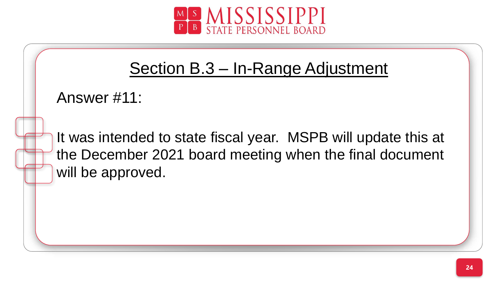

# Section B.3 – In-Range Adjustment

```
Answer #11:
```
the December 2021 board meeting when the final document It was intended to state fiscal year. MSPB will update this at will be approved.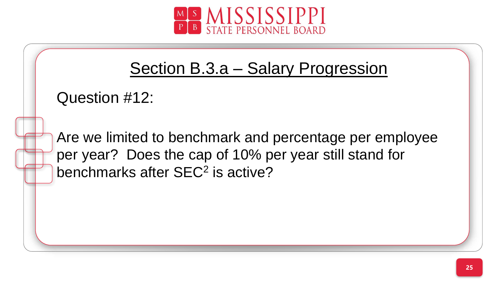

Question #12:

per year? Does the cap of 10% per year still stand for Are we limited to benchmark and percentage per employee benchmarks after SEC<sup>2</sup> is active?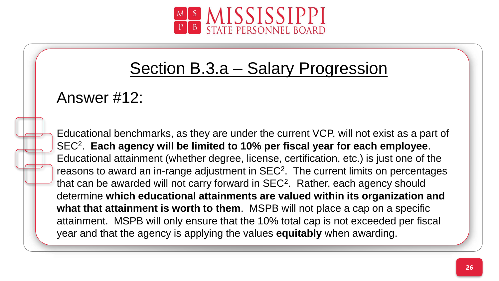

#### Answer #12:

SEC<sup>2</sup>. Each agency will be limited to 10% per fiscal year for each employee. Educational benchmarks, as they are under the current VCP, will not exist as a part of Educational attainment (whether degree, license, certification, etc.) is just one of the reasons to award an in-range adjustment in  $SEC<sup>2</sup>$ . The current limits on percentages that can be awarded will not carry forward in  $SEC<sup>2</sup>$ . Rather, each agency should determine **which educational attainments are valued within its organization and what that attainment is worth to them**. MSPB will not place a cap on a specific attainment. MSPB will only ensure that the 10% total cap is not exceeded per fiscal year and that the agency is applying the values **equitably** when awarding.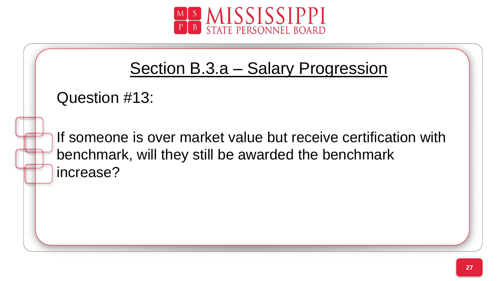

```
Question #13:
```
benchmark, will they still be awarded the benchmark If someone is over market value but receive certification with increase?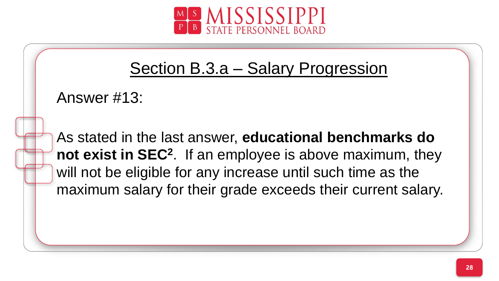

```
Answer #13:
```
not exist in SEC<sup>2</sup>. If an employee is above maximum, they As stated in the last answer, **educational benchmarks do**  will not be eligible for any increase until such time as the maximum salary for their grade exceeds their current salary.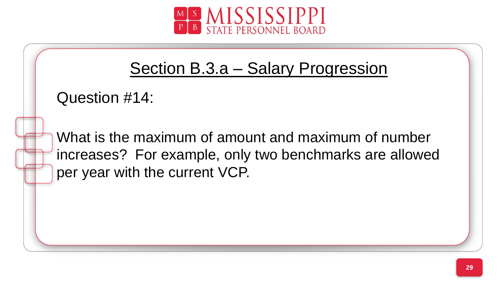

Question #14:

increases? For example, only two benchmarks are allowed What is the maximum of amount and maximum of number per year with the current VCP.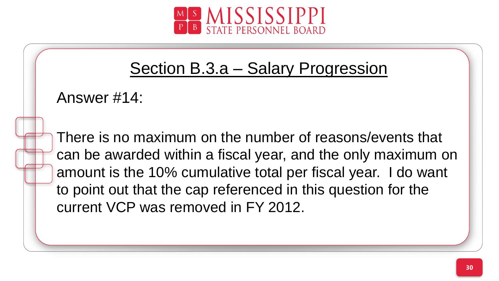

Answer #14:

can be awarded within a fiscal year, and the only maximum on There is no maximum on the number of reasons/events that amount is the 10% cumulative total per fiscal year. I do want to point out that the cap referenced in this question for the current VCP was removed in FY 2012.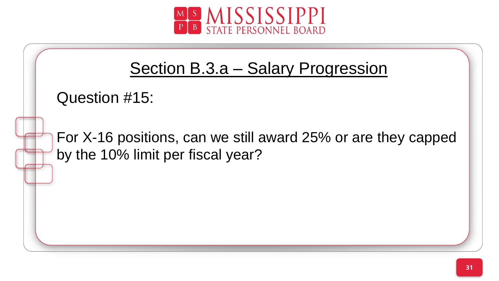

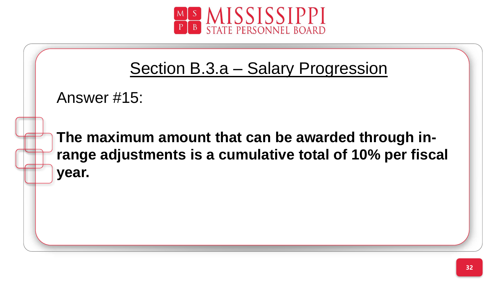

```
Answer #15:
```
range adjustments is a cumulative total of 10% per fiscal **The maximum amount that can be awarded through inyear.**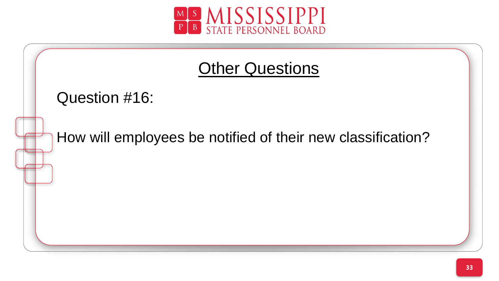

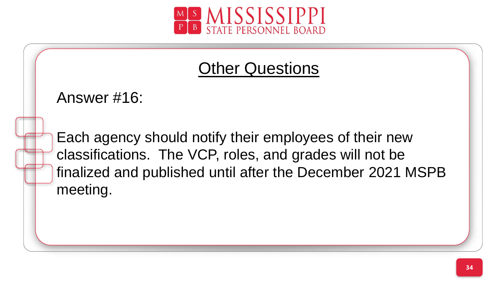

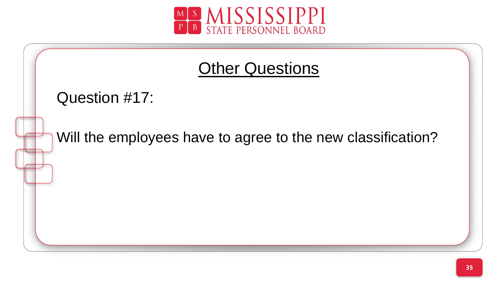

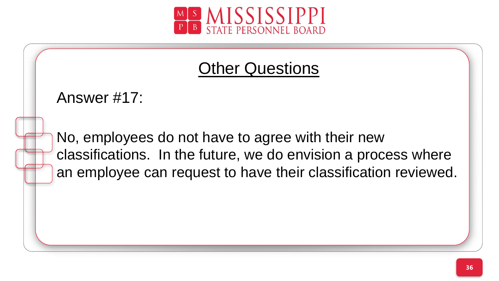

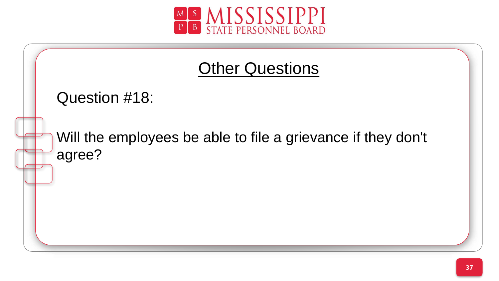

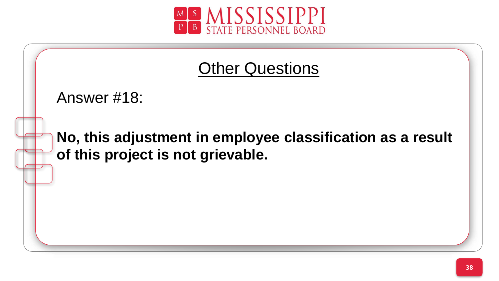

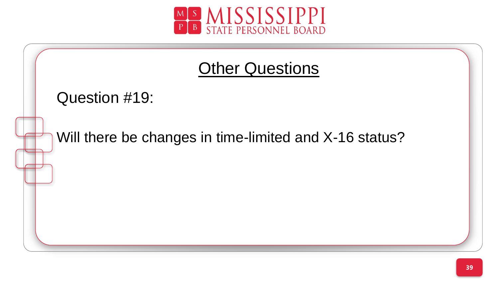

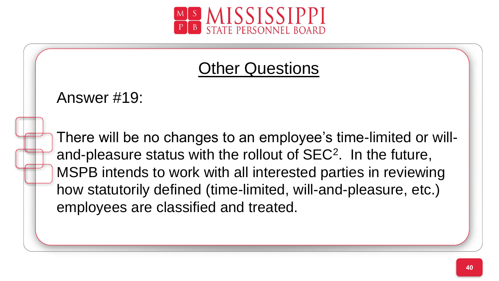

Answer #19:

and-pleasure status with the rollout of SEC<sup>2</sup>. In the future, There will be no changes to an employee's time-limited or will-MSPB intends to work with all interested parties in reviewing how statutorily defined (time-limited, will-and-pleasure, etc.) employees are classified and treated.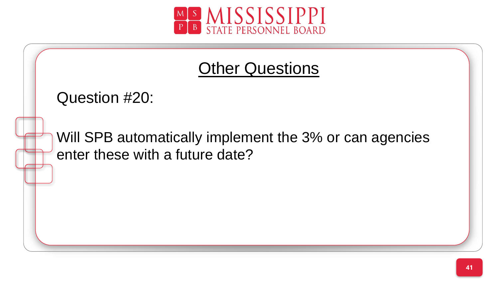

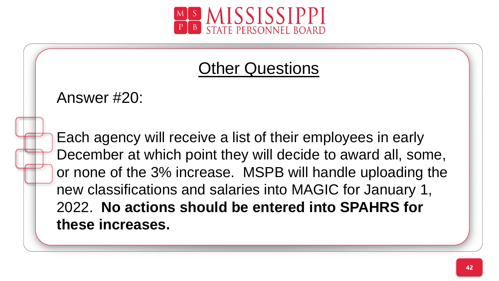

Answer #20:

December at which point they will decide to award all, some, Each agency will receive a list of their employees in early or none of the 3% increase. MSPB will handle uploading the new classifications and salaries into MAGIC for January 1, 2022. **No actions should be entered into SPAHRS for these increases.**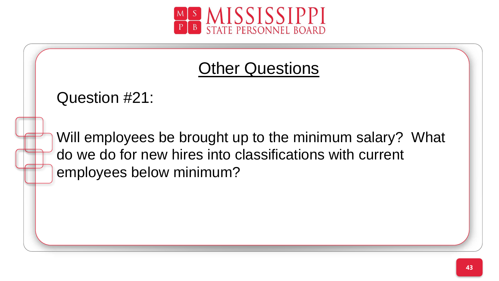

Question #21:

ç do we do for new hires into classifications with current Will employees be brought up to the minimum salary? What employees below minimum?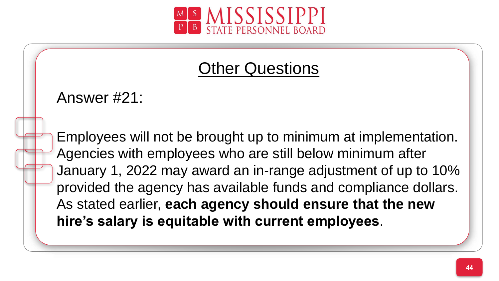

Answer #21:

Agencies with employees who are still below minimum after Employees will not be brought up to minimum at implementation. January 1, 2022 may award an in-range adjustment of up to 10% provided the agency has available funds and compliance dollars. As stated earlier, **each agency should ensure that the new hire's salary is equitable with current employees**.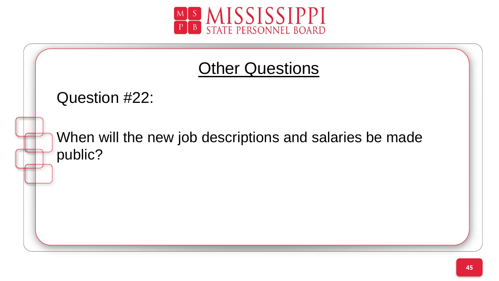

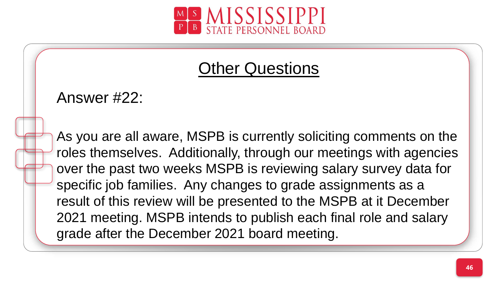

Answer #22:

roles themselves. Additionally, through our meetings with agencies As you are all aware, MSPB is currently soliciting comments on the over the past two weeks MSPB is reviewing salary survey data for specific job families. Any changes to grade assignments as a result of this review will be presented to the MSPB at it December 2021 meeting. MSPB intends to publish each final role and salary grade after the December 2021 board meeting.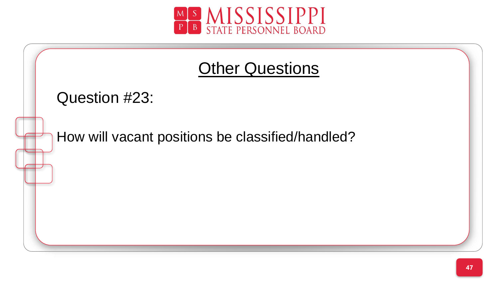

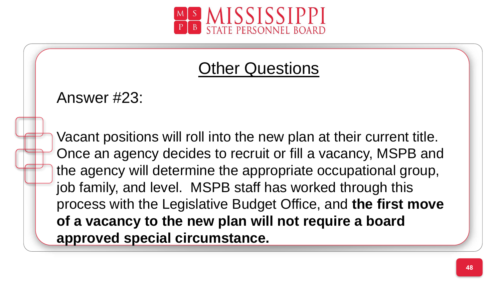

Answer #23:

Once an agency decides to recruit or fill a vacancy, MSPB and Vacant positions will roll into the new plan at their current title. the agency will determine the appropriate occupational group, job family, and level. MSPB staff has worked through this process with the Legislative Budget Office, and **the first move of a vacancy to the new plan will not require a board approved special circumstance.**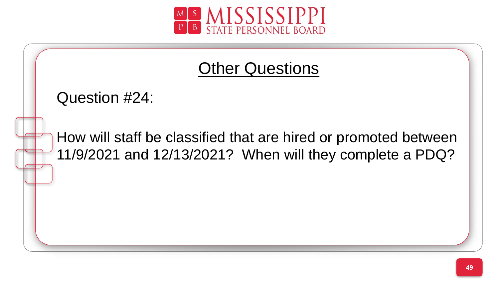

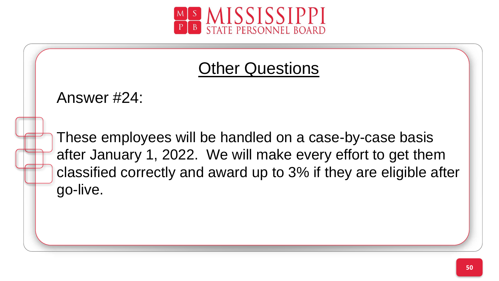



after January 1, 2022. We will make every effort to get them These employees will be handled on a case-by-case basis classified correctly and award up to 3% if they are eligible after go-live.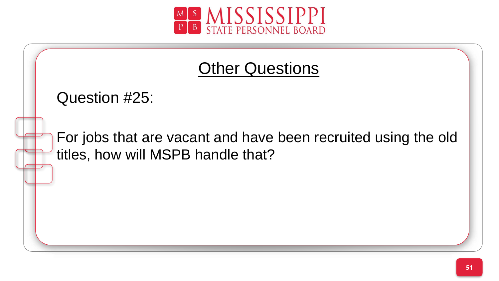

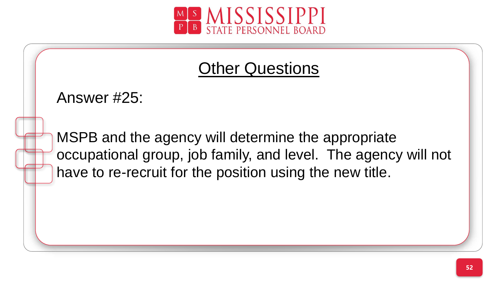

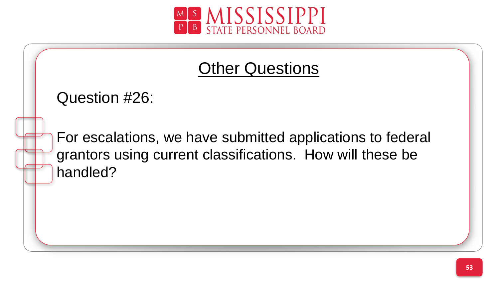

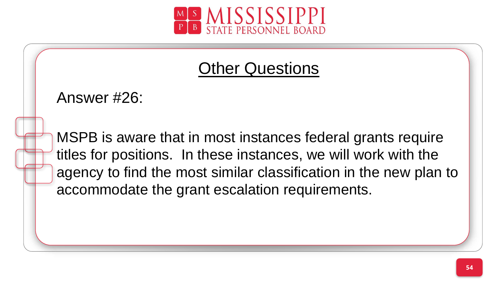

Answer #26:

titles for positions. In these instances, we will work with the MSPB is aware that in most instances federal grants require agency to find the most similar classification in the new plan to accommodate the grant escalation requirements.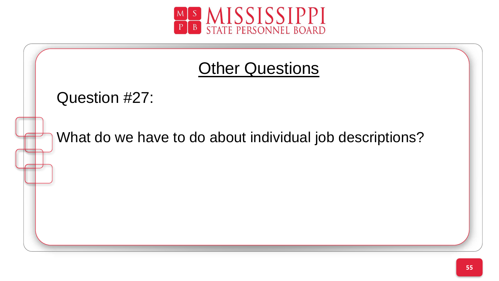

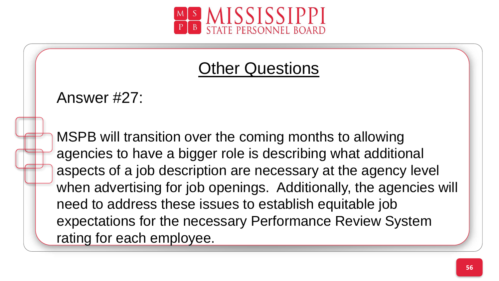

Answer #27:

agencies to have a bigger role is describing what additional MSPB will transition over the coming months to allowing aspects of a job description are necessary at the agency level when advertising for job openings. Additionally, the agencies will need to address these issues to establish equitable job expectations for the necessary Performance Review System rating for each employee.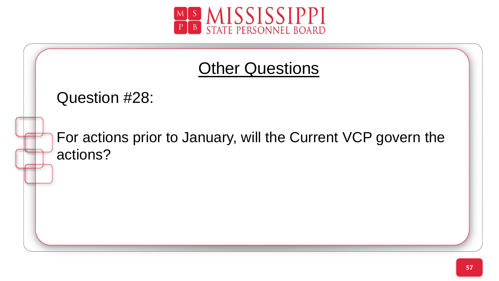

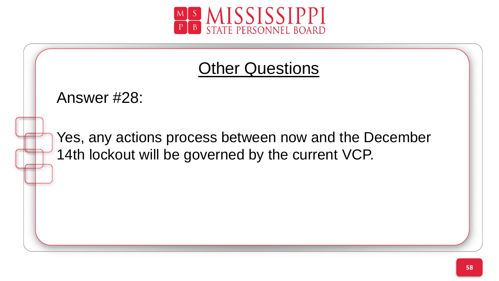

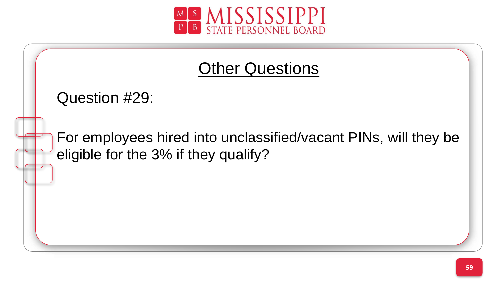

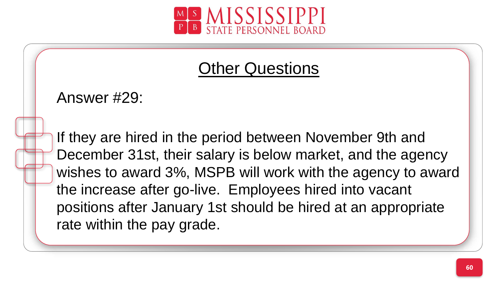

Answer #29:

December 31st, their salary is below market, and the agency If they are hired in the period between November 9th and wishes to award 3%, MSPB will work with the agency to award the increase after go-live. Employees hired into vacant positions after January 1st should be hired at an appropriate rate within the pay grade.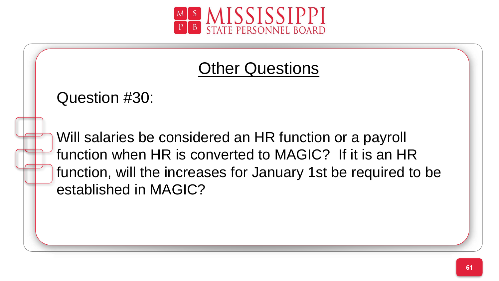

Question #30:

function when HR is converted to MAGIC? If it is an HR Will salaries be considered an HR function or a payroll function, will the increases for January 1st be required to be established in MAGIC?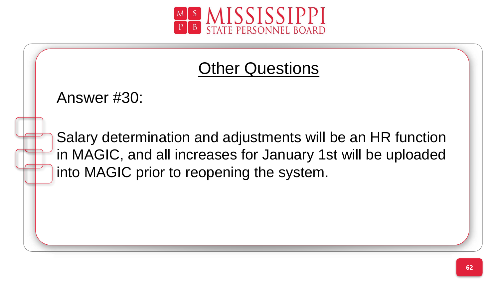

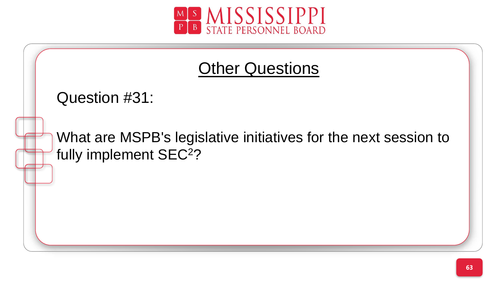

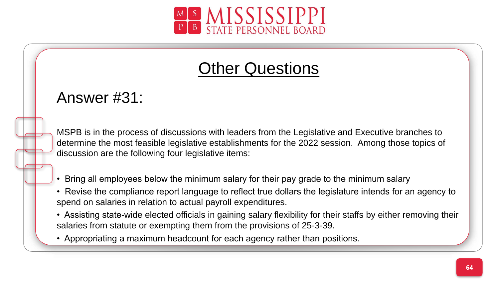

#### Answer #31:

ç MSPB is in the process of discussions with leaders from the Legislative and Executive branches to determine the most feasible legislative establishments for the 2022 session. Among those topics of discussion are the following four legislative items:

- Bring all employees below the minimum salary for their pay grade to the minimum salary
- Revise the compliance report language to reflect true dollars the legislature intends for an agency to spend on salaries in relation to actual payroll expenditures.
- Assisting state-wide elected officials in gaining salary flexibility for their staffs by either removing their salaries from statute or exempting them from the provisions of 25-3-39.
- Appropriating a maximum headcount for each agency rather than positions.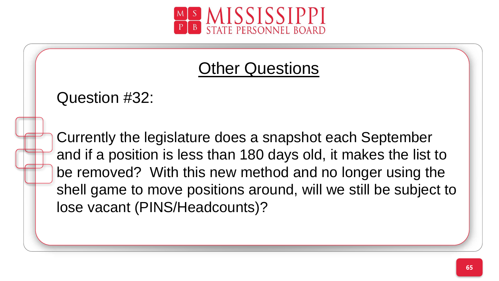

Question #32:

and if a position is less than 180 days old, it makes the list to Currently the legislature does a snapshot each September be removed? With this new method and no longer using the shell game to move positions around, will we still be subject to lose vacant (PINS/Headcounts)?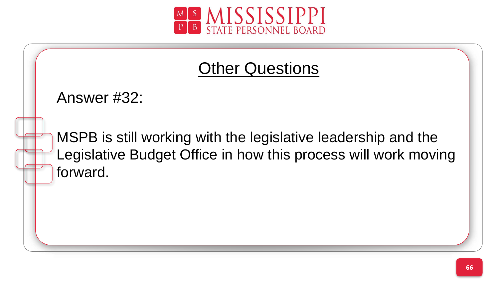

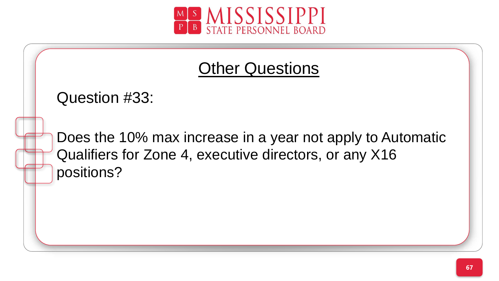

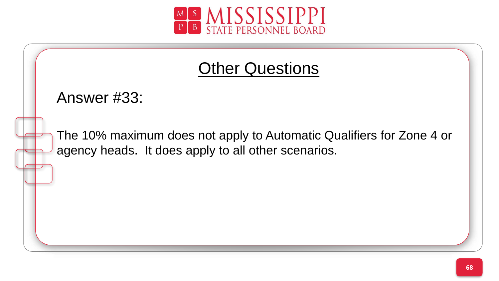

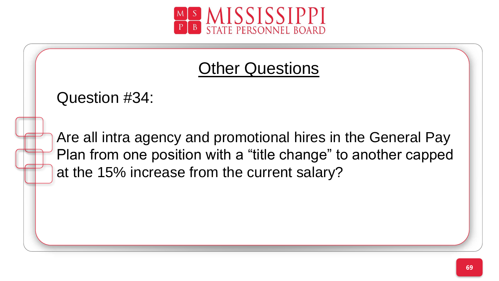

Question #34:

Plan from one position with a "title change" to another capped Are all intra agency and promotional hires in the General Pay at the 15% increase from the current salary?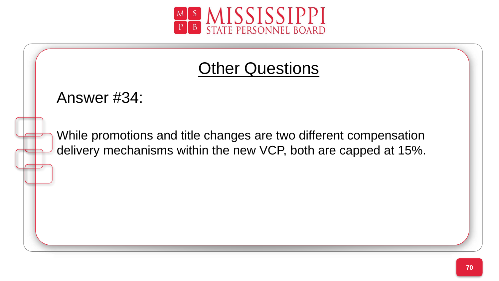

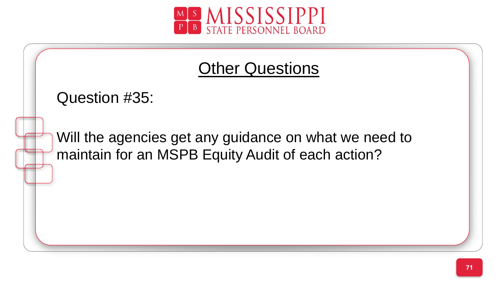

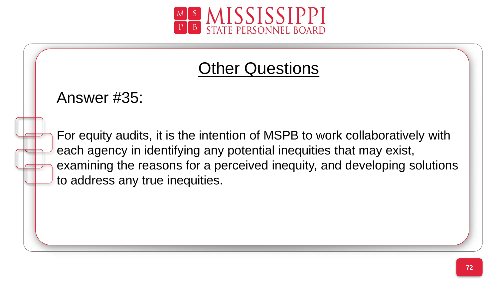

Answer #35:

each agency in identifying any potential inequities that may exist, For equity audits, it is the intention of MSPB to work collaboratively with examining the reasons for a perceived inequity, and developing solutions to address any true inequities.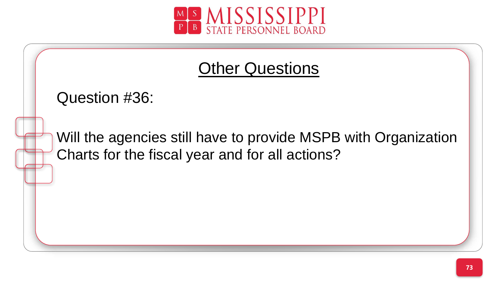

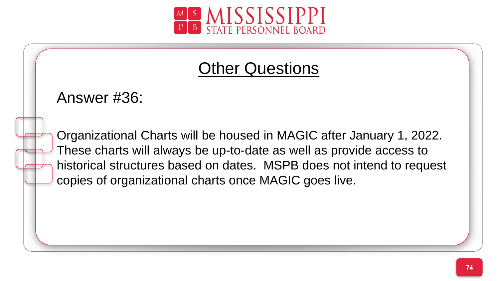

## Other Questions

Answer #36:

These charts will always be up-to-date as well as provide access to Organizational Charts will be housed in MAGIC after January 1, 2022. historical structures based on dates. MSPB does not intend to request copies of organizational charts once MAGIC goes live.